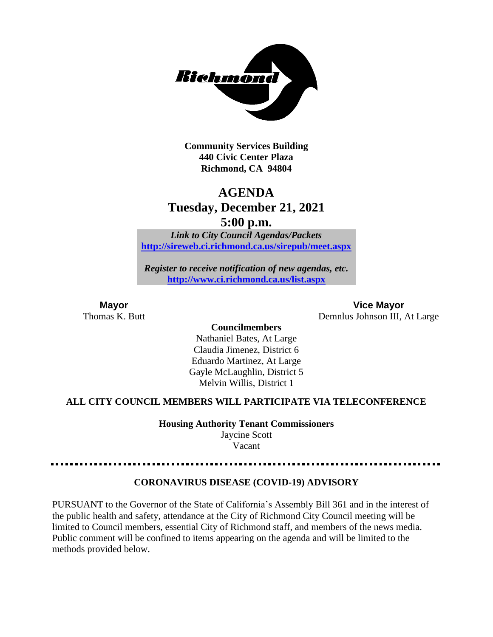

**Community Services Building 440 Civic Center Plaza Richmond, CA 94804**

## **AGENDA Tuesday, December 21, 2021 5:00 p.m.**

*Link to City Council Agendas/Packets* **<http://sireweb.ci.richmond.ca.us/sirepub/meet.aspx>**

*Register to receive notification of new agendas, etc.* **<http://www.ci.richmond.ca.us/list.aspx>**

**Mayor Vice Mayor** Thomas K. Butt Demnlus Johnson III, At Large

#### **Councilmembers** Nathaniel Bates, At Large Claudia Jimenez, District 6 Eduardo Martinez, At Large Gayle McLaughlin, District 5 Melvin Willis, District 1

#### **ALL CITY COUNCIL MEMBERS WILL PARTICIPATE VIA TELECONFERENCE**

**Housing Authority Tenant Commissioners**

Jaycine Scott Vacant

#### **CORONAVIRUS DISEASE (COVID-19) ADVISORY**

PURSUANT to the Governor of the State of California's Assembly Bill 361 and in the interest of the public health and safety, attendance at the City of Richmond City Council meeting will be limited to Council members, essential City of Richmond staff, and members of the news media. Public comment will be confined to items appearing on the agenda and will be limited to the methods provided below.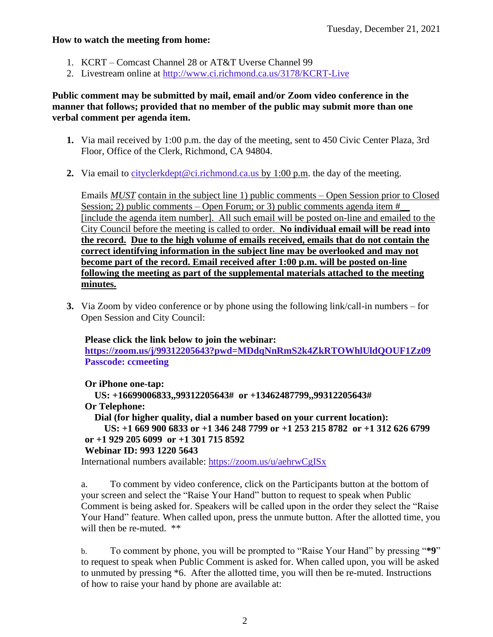#### **How to watch the meeting from home:**

- 1. KCRT Comcast Channel 28 or AT&T Uverse Channel 99
- 2. Livestream online at<http://www.ci.richmond.ca.us/3178/KCRT-Live>

#### **Public comment may be submitted by mail, email and/or Zoom video conference in the manner that follows; provided that no member of the public may submit more than one verbal comment per agenda item.**

- **1.** Via mail received by 1:00 p.m. the day of the meeting, sent to 450 Civic Center Plaza, 3rd Floor, Office of the Clerk, Richmond, CA 94804.
- **2.** Via email to [cityclerkdept@ci.richmond.ca.us](mailto:cityclerkdept@ci.richmond.ca.us) by 1:00 p.m. the day of the meeting.

Emails *MUST* contain in the subject line 1) public comments – Open Session prior to Closed Session; 2) public comments – Open Forum; or 3) public comments agenda item  $#$ [include the agenda item number]. All such email will be posted on-line and emailed to the City Council before the meeting is called to order. **No individual email will be read into the record. Due to the high volume of emails received, emails that do not contain the correct identifying information in the subject line may be overlooked and may not become part of the record. Email received after 1:00 p.m. will be posted on-line following the meeting as part of the supplemental materials attached to the meeting minutes.**

**3.** Via Zoom by video conference or by phone using the following link/call-in numbers – for Open Session and City Council:

#### **Please click the link below to join the webinar:**

**<https://zoom.us/j/99312205643?pwd=MDdqNnRmS2k4ZkRTOWhlUldQOUF1Zz09> Passcode: ccmeeting**

**Or iPhone one-tap:**

**US: +16699006833,,99312205643# or +13462487799,,99312205643#**

#### **Or Telephone:**

**Dial (for higher quality, dial a number based on your current location):**

```
US: +1 669 900 6833 or +1 346 248 7799 or +1 253 215 8782 or +1 312 626 6799
or +1 929 205 6099 or +1 301 715 8592
```
#### **Webinar ID: 993 1220 5643**

International numbers available: <https://zoom.us/u/aehrwCgISx>

a. To comment by video conference, click on the Participants button at the bottom of your screen and select the "Raise Your Hand" button to request to speak when Public Comment is being asked for. Speakers will be called upon in the order they select the "Raise Your Hand" feature. When called upon, press the unmute button. After the allotted time, you will then be re-muted.  $**$ 

b. To comment by phone, you will be prompted to "Raise Your Hand" by pressing "**\*9**" to request to speak when Public Comment is asked for. When called upon, you will be asked to unmuted by pressing \*6. After the allotted time, you will then be re-muted. Instructions of how to raise your hand by phone are available at: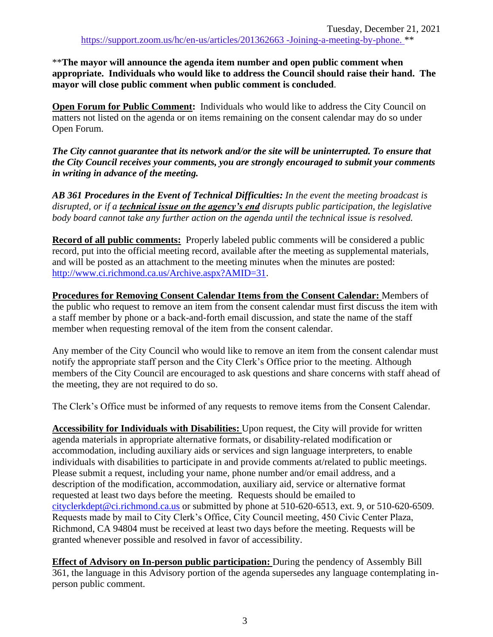\*\***The mayor will announce the agenda item number and open public comment when appropriate. Individuals who would like to address the Council should raise their hand. The mayor will close public comment when public comment is concluded**.

**Open Forum for Public Comment:** Individuals who would like to address the City Council on matters not listed on the agenda or on items remaining on the consent calendar may do so under Open Forum.

*The City cannot guarantee that its network and/or the site will be uninterrupted. To ensure that the City Council receives your comments, you are strongly encouraged to submit your comments in writing in advance of the meeting.* 

*AB 361 Procedures in the Event of Technical Difficulties: In the event the meeting broadcast is disrupted, or if a technical issue on the agency's end disrupts public participation, the legislative body board cannot take any further action on the agenda until the technical issue is resolved.*

**Record of all public comments:** Properly labeled public comments will be considered a public record, put into the official meeting record, available after the meeting as supplemental materials, and will be posted as an attachment to the meeting minutes when the minutes are posted: [http://www.ci.richmond.ca.us/Archive.aspx?AMID=31.](http://www.ci.richmond.ca.us/Archive.aspx?AMID=31)

**Procedures for Removing Consent Calendar Items from the Consent Calendar:** Members of the public who request to remove an item from the consent calendar must first discuss the item with a staff member by phone or a back-and-forth email discussion, and state the name of the staff member when requesting removal of the item from the consent calendar.

Any member of the City Council who would like to remove an item from the consent calendar must notify the appropriate staff person and the City Clerk's Office prior to the meeting. Although members of the City Council are encouraged to ask questions and share concerns with staff ahead of the meeting, they are not required to do so.

The Clerk's Office must be informed of any requests to remove items from the Consent Calendar.

**Accessibility for Individuals with Disabilities:** Upon request, the City will provide for written agenda materials in appropriate alternative formats, or disability-related modification or accommodation, including auxiliary aids or services and sign language interpreters, to enable individuals with disabilities to participate in and provide comments at/related to public meetings. Please submit a request, including your name, phone number and/or email address, and a description of the modification, accommodation, auxiliary aid, service or alternative format requested at least two days before the meeting. Requests should be emailed to [cityclerkdept@ci.richmond.ca.us](mailto:cityclerkdept@ci.richmond.ca.us) or submitted by phone at 510-620-6513, ext. 9, or 510-620-6509. Requests made by mail to City Clerk's Office, City Council meeting, 450 Civic Center Plaza, Richmond, CA 94804 must be received at least two days before the meeting. Requests will be granted whenever possible and resolved in favor of accessibility.

**Effect of Advisory on In-person public participation:** During the pendency of Assembly Bill 361, the language in this Advisory portion of the agenda supersedes any language contemplating inperson public comment.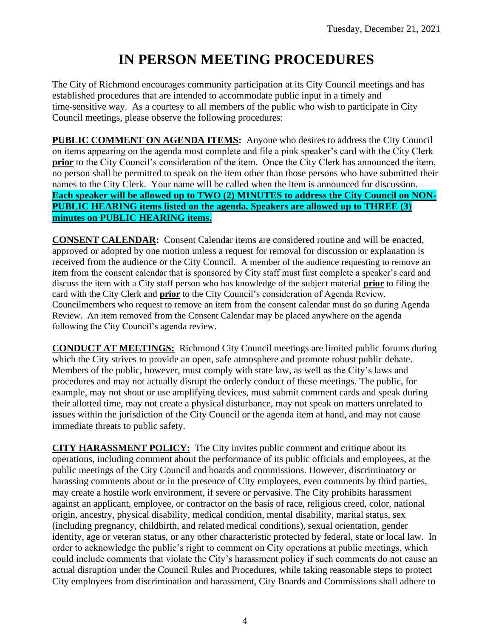# **IN PERSON MEETING PROCEDURES**

The City of Richmond encourages community participation at its City Council meetings and has established procedures that are intended to accommodate public input in a timely and time-sensitive way. As a courtesy to all members of the public who wish to participate in City Council meetings, please observe the following procedures:

**PUBLIC COMMENT ON AGENDA ITEMS:** Anyone who desires to address the City Council on items appearing on the agenda must complete and file a pink speaker's card with the City Clerk **prior** to the City Council's consideration of the item. Once the City Clerk has announced the item, no person shall be permitted to speak on the item other than those persons who have submitted their names to the City Clerk. Your name will be called when the item is announced for discussion. **Each speaker will be allowed up to TWO (2) MINUTES to address the City Council on NON-PUBLIC HEARING items listed on the agenda. Speakers are allowed up to THREE (3) minutes on PUBLIC HEARING items.**

**CONSENT CALENDAR:** Consent Calendar items are considered routine and will be enacted, approved or adopted by one motion unless a request for removal for discussion or explanation is received from the audience or the City Council. A member of the audience requesting to remove an item from the consent calendar that is sponsored by City staff must first complete a speaker's card and discuss the item with a City staff person who has knowledge of the subject material **prior** to filing the card with the City Clerk and **prior** to the City Council's consideration of Agenda Review. Councilmembers who request to remove an item from the consent calendar must do so during Agenda Review. An item removed from the Consent Calendar may be placed anywhere on the agenda following the City Council's agenda review.

**CONDUCT AT MEETINGS:** Richmond City Council meetings are limited public forums during which the City strives to provide an open, safe atmosphere and promote robust public debate. Members of the public, however, must comply with state law, as well as the City's laws and procedures and may not actually disrupt the orderly conduct of these meetings. The public, for example, may not shout or use amplifying devices, must submit comment cards and speak during their allotted time, may not create a physical disturbance, may not speak on matters unrelated to issues within the jurisdiction of the City Council or the agenda item at hand, and may not cause immediate threats to public safety.

**CITY HARASSMENT POLICY:** The City invites public comment and critique about its operations, including comment about the performance of its public officials and employees, at the public meetings of the City Council and boards and commissions. However, discriminatory or harassing comments about or in the presence of City employees, even comments by third parties, may create a hostile work environment, if severe or pervasive. The City prohibits harassment against an applicant, employee, or contractor on the basis of race, religious creed, color, national origin, ancestry, physical disability, medical condition, mental disability, marital status, sex (including pregnancy, childbirth, and related medical conditions), sexual orientation, gender identity, age or veteran status, or any other characteristic protected by federal, state or local law. In order to acknowledge the public's right to comment on City operations at public meetings, which could include comments that violate the City's harassment policy if such comments do not cause an actual disruption under the Council Rules and Procedures, while taking reasonable steps to protect City employees from discrimination and harassment, City Boards and Commissions shall adhere to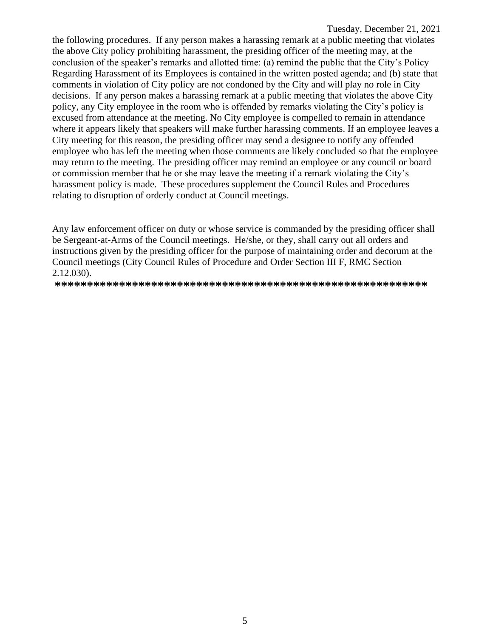the following procedures. If any person makes a harassing remark at a public meeting that violates the above City policy prohibiting harassment, the presiding officer of the meeting may, at the conclusion of the speaker's remarks and allotted time: (a) remind the public that the City's Policy Regarding Harassment of its Employees is contained in the written posted agenda; and (b) state that comments in violation of City policy are not condoned by the City and will play no role in City decisions. If any person makes a harassing remark at a public meeting that violates the above City policy, any City employee in the room who is offended by remarks violating the City's policy is excused from attendance at the meeting. No City employee is compelled to remain in attendance where it appears likely that speakers will make further harassing comments. If an employee leaves a City meeting for this reason, the presiding officer may send a designee to notify any offended employee who has left the meeting when those comments are likely concluded so that the employee may return to the meeting. The presiding officer may remind an employee or any council or board or commission member that he or she may leave the meeting if a remark violating the City's harassment policy is made. These procedures supplement the Council Rules and Procedures relating to disruption of orderly conduct at Council meetings.

Any law enforcement officer on duty or whose service is commanded by the presiding officer shall be Sergeant-at-Arms of the Council meetings. He/she, or they, shall carry out all orders and instructions given by the presiding officer for the purpose of maintaining order and decorum at the Council meetings (City Council Rules of Procedure and Order Section III F, RMC Section 2.12.030).

**\*\*\*\*\*\*\*\*\*\*\*\*\*\*\*\*\*\*\*\*\*\*\*\*\*\*\*\*\*\*\*\*\*\*\*\*\*\*\*\*\*\*\*\*\*\*\*\*\*\*\*\*\*\*\*\*\*\***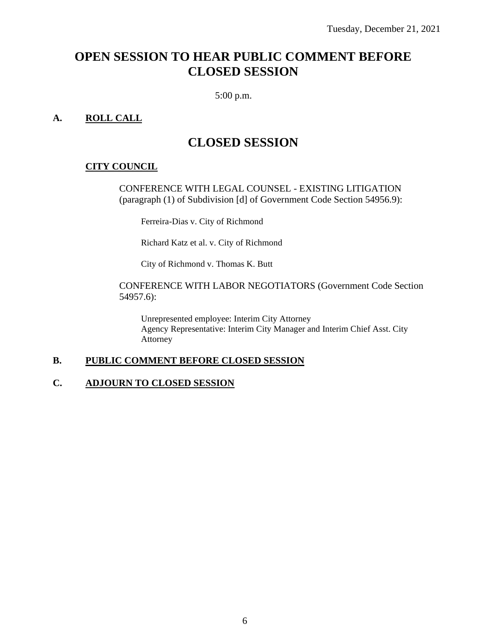## **OPEN SESSION TO HEAR PUBLIC COMMENT BEFORE CLOSED SESSION**

5:00 p.m.

#### **A. ROLL CALL**

## **CLOSED SESSION**

#### **CITY COUNCIL**

CONFERENCE WITH LEGAL COUNSEL - EXISTING LITIGATION (paragraph (1) of Subdivision [d] of Government Code Section 54956.9):

Ferreira-Dias v. City of Richmond

Richard Katz et al. v. City of Richmond

City of Richmond v. Thomas K. Butt

#### CONFERENCE WITH LABOR NEGOTIATORS (Government Code Section 54957.6):

Unrepresented employee: Interim City Attorney Agency Representative: Interim City Manager and Interim Chief Asst. City Attorney

#### **B. PUBLIC COMMENT BEFORE CLOSED SESSION**

#### **C. ADJOURN TO CLOSED SESSION**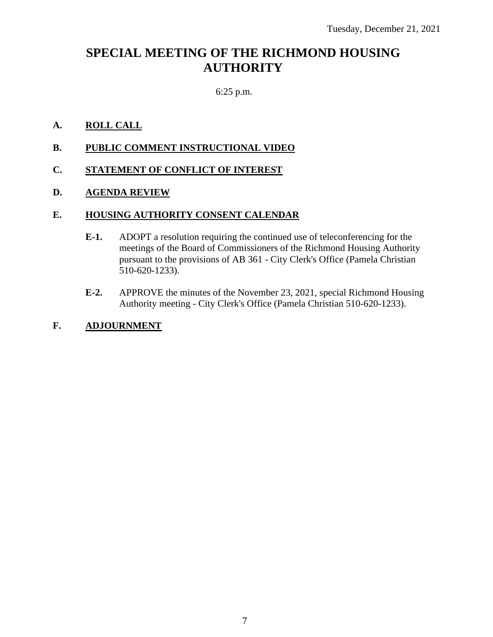## **SPECIAL MEETING OF THE RICHMOND HOUSING AUTHORITY**

#### 6:25 p.m.

#### **A. ROLL CALL**

**B. PUBLIC COMMENT INSTRUCTIONAL VIDEO**

#### **C. STATEMENT OF CONFLICT OF INTEREST**

#### **D. AGENDA REVIEW**

#### **E. HOUSING AUTHORITY CONSENT CALENDAR**

- **E-1.** ADOPT a resolution requiring the continued use of teleconferencing for the meetings of the Board of Commissioners of the Richmond Housing Authority pursuant to the provisions of AB 361 - City Clerk's Office (Pamela Christian 510-620-1233).
- **E-2.** APPROVE the minutes of the November 23, 2021, special Richmond Housing Authority meeting - City Clerk's Office (Pamela Christian 510-620-1233).

#### **F. ADJOURNMENT**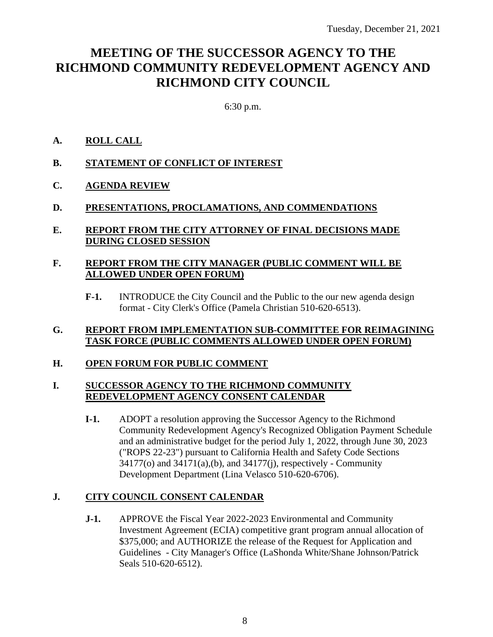## **MEETING OF THE SUCCESSOR AGENCY TO THE RICHMOND COMMUNITY REDEVELOPMENT AGENCY AND RICHMOND CITY COUNCIL**

6:30 p.m.

#### **A. ROLL CALL**

- **B. STATEMENT OF CONFLICT OF INTEREST**
- **C. AGENDA REVIEW**

#### **D. PRESENTATIONS, PROCLAMATIONS, AND COMMENDATIONS**

#### **E. REPORT FROM THE CITY ATTORNEY OF FINAL DECISIONS MADE DURING CLOSED SESSION**

#### **F. REPORT FROM THE CITY MANAGER (PUBLIC COMMENT WILL BE ALLOWED UNDER OPEN FORUM)**

**F-1.** INTRODUCE the City Council and the Public to the our new agenda design format - City Clerk's Office (Pamela Christian 510-620-6513).

#### **G. REPORT FROM IMPLEMENTATION SUB-COMMITTEE FOR REIMAGINING TASK FORCE (PUBLIC COMMENTS ALLOWED UNDER OPEN FORUM)**

#### **H. OPEN FORUM FOR PUBLIC COMMENT**

#### **I. SUCCESSOR AGENCY TO THE RICHMOND COMMUNITY REDEVELOPMENT AGENCY CONSENT CALENDAR**

**I-1.** ADOPT a resolution approving the Successor Agency to the Richmond Community Redevelopment Agency's Recognized Obligation Payment Schedule and an administrative budget for the period July 1, 2022, through June 30, 2023 ("ROPS 22-23") pursuant to California Health and Safety Code Sections 34177(o) and 34171(a),(b), and 34177(j), respectively - Community Development Department (Lina Velasco 510-620-6706).

#### **J. CITY COUNCIL CONSENT CALENDAR**

**J-1.** APPROVE the Fiscal Year 2022-2023 Environmental and Community Investment Agreement (ECIA) competitive grant program annual allocation of \$375,000; and AUTHORIZE the release of the Request for Application and Guidelines - City Manager's Office (LaShonda White/Shane Johnson/Patrick Seals 510-620-6512).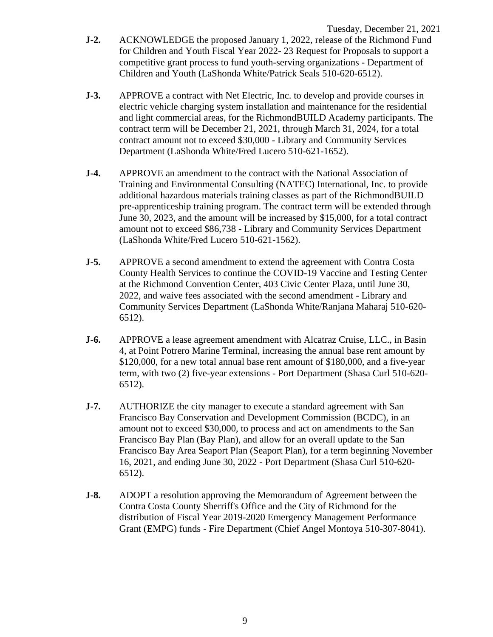- **J-2.** ACKNOWLEDGE the proposed January 1, 2022, release of the Richmond Fund for Children and Youth Fiscal Year 2022- 23 Request for Proposals to support a competitive grant process to fund youth-serving organizations - Department of Children and Youth (LaShonda White/Patrick Seals 510-620-6512).
- **J-3.** APPROVE a contract with Net Electric, Inc. to develop and provide courses in electric vehicle charging system installation and maintenance for the residential and light commercial areas, for the RichmondBUILD Academy participants. The contract term will be December 21, 2021, through March 31, 2024, for a total contract amount not to exceed \$30,000 - Library and Community Services Department (LaShonda White/Fred Lucero 510-621-1652).
- **J-4.** APPROVE an amendment to the contract with the National Association of Training and Environmental Consulting (NATEC) International, Inc. to provide additional hazardous materials training classes as part of the RichmondBUILD pre-apprenticeship training program. The contract term will be extended through June 30, 2023, and the amount will be increased by \$15,000, for a total contract amount not to exceed \$86,738 - Library and Community Services Department (LaShonda White/Fred Lucero 510-621-1562).
- **J-5.** APPROVE a second amendment to extend the agreement with Contra Costa County Health Services to continue the COVID-19 Vaccine and Testing Center at the Richmond Convention Center, 403 Civic Center Plaza, until June 30, 2022, and waive fees associated with the second amendment - Library and Community Services Department (LaShonda White/Ranjana Maharaj 510-620- 6512).
- **J-6.** APPROVE a lease agreement amendment with Alcatraz Cruise, LLC., in Basin 4, at Point Potrero Marine Terminal, increasing the annual base rent amount by \$120,000, for a new total annual base rent amount of \$180,000, and a five-year term, with two (2) five-year extensions - Port Department (Shasa Curl 510-620- 6512).
- **J-7.** AUTHORIZE the city manager to execute a standard agreement with San Francisco Bay Conservation and Development Commission (BCDC), in an amount not to exceed \$30,000, to process and act on amendments to the San Francisco Bay Plan (Bay Plan), and allow for an overall update to the San Francisco Bay Area Seaport Plan (Seaport Plan), for a term beginning November 16, 2021, and ending June 30, 2022 - Port Department (Shasa Curl 510-620- 6512).
- **J-8.** ADOPT a resolution approving the Memorandum of Agreement between the Contra Costa County Sherriff's Office and the City of Richmond for the distribution of Fiscal Year 2019-2020 Emergency Management Performance Grant (EMPG) funds - Fire Department (Chief Angel Montoya 510-307-8041).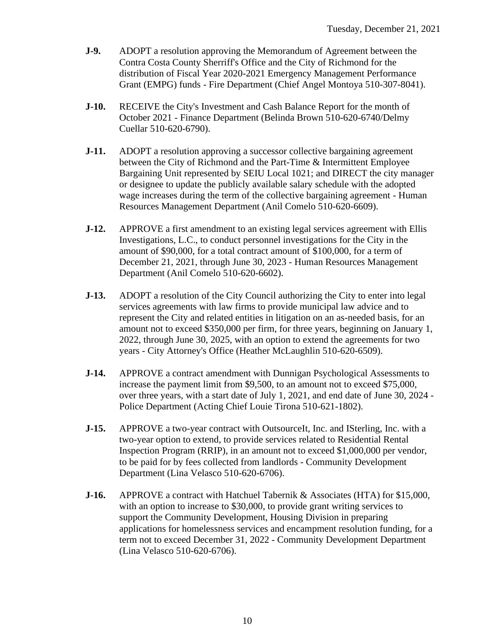- **J-9.** ADOPT a resolution approving the Memorandum of Agreement between the Contra Costa County Sherriff's Office and the City of Richmond for the distribution of Fiscal Year 2020-2021 Emergency Management Performance Grant (EMPG) funds - Fire Department (Chief Angel Montoya 510-307-8041).
- **J-10.** RECEIVE the City's Investment and Cash Balance Report for the month of October 2021 - Finance Department (Belinda Brown 510-620-6740/Delmy Cuellar 510-620-6790).
- **J-11.** ADOPT a resolution approving a successor collective bargaining agreement between the City of Richmond and the Part-Time & Intermittent Employee Bargaining Unit represented by SEIU Local 1021; and DIRECT the city manager or designee to update the publicly available salary schedule with the adopted wage increases during the term of the collective bargaining agreement - Human Resources Management Department (Anil Comelo 510-620-6609).
- **J-12.** APPROVE a first amendment to an existing legal services agreement with Ellis Investigations, L.C., to conduct personnel investigations for the City in the amount of \$90,000, for a total contract amount of \$100,000, for a term of December 21, 2021, through June 30, 2023 - Human Resources Management Department (Anil Comelo 510-620-6602).
- **J-13.** ADOPT a resolution of the City Council authorizing the City to enter into legal services agreements with law firms to provide municipal law advice and to represent the City and related entities in litigation on an as-needed basis, for an amount not to exceed \$350,000 per firm, for three years, beginning on January 1, 2022, through June 30, 2025, with an option to extend the agreements for two years - City Attorney's Office (Heather McLaughlin 510-620-6509).
- **J-14.** APPROVE a contract amendment with Dunnigan Psychological Assessments to increase the payment limit from \$9,500, to an amount not to exceed \$75,000, over three years, with a start date of July 1, 2021, and end date of June 30, 2024 - Police Department (Acting Chief Louie Tirona 510-621-1802).
- **J-15.** APPROVE a two-year contract with OutsourceIt, Inc. and ISterling, Inc. with a two-year option to extend, to provide services related to Residential Rental Inspection Program (RRIP), in an amount not to exceed \$1,000,000 per vendor, to be paid for by fees collected from landlords - Community Development Department (Lina Velasco 510-620-6706).
- **J-16.** APPROVE a contract with Hatchuel Tabernik & Associates (HTA) for \$15,000, with an option to increase to \$30,000, to provide grant writing services to support the Community Development, Housing Division in preparing applications for homelessness services and encampment resolution funding, for a term not to exceed December 31, 2022 - Community Development Department (Lina Velasco 510-620-6706).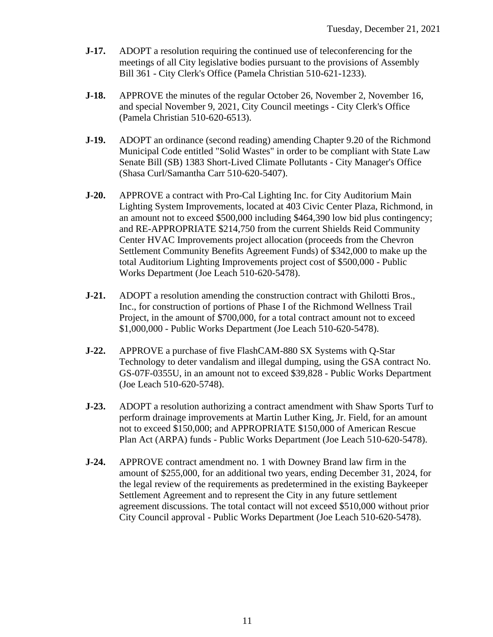- **J-17.** ADOPT a resolution requiring the continued use of teleconferencing for the meetings of all City legislative bodies pursuant to the provisions of Assembly Bill 361 - City Clerk's Office (Pamela Christian 510-621-1233).
- **J-18.** APPROVE the minutes of the regular October 26, November 2, November 16, and special November 9, 2021, City Council meetings - City Clerk's Office (Pamela Christian 510-620-6513).
- **J-19.** ADOPT an ordinance (second reading) amending Chapter 9.20 of the Richmond Municipal Code entitled "Solid Wastes" in order to be compliant with State Law Senate Bill (SB) 1383 Short-Lived Climate Pollutants - City Manager's Office (Shasa Curl/Samantha Carr 510-620-5407).
- **J-20.** APPROVE a contract with Pro-Cal Lighting Inc. for City Auditorium Main Lighting System Improvements, located at 403 Civic Center Plaza, Richmond, in an amount not to exceed \$500,000 including \$464,390 low bid plus contingency; and RE-APPROPRIATE \$214,750 from the current Shields Reid Community Center HVAC Improvements project allocation (proceeds from the Chevron Settlement Community Benefits Agreement Funds) of \$342,000 to make up the total Auditorium Lighting Improvements project cost of \$500,000 - Public Works Department (Joe Leach 510-620-5478).
- **J-21.** ADOPT a resolution amending the construction contract with Ghilotti Bros., Inc., for construction of portions of Phase I of the Richmond Wellness Trail Project, in the amount of \$700,000, for a total contract amount not to exceed \$1,000,000 - Public Works Department (Joe Leach 510-620-5478).
- **J-22.** APPROVE a purchase of five FlashCAM-880 SX Systems with Q-Star Technology to deter vandalism and illegal dumping, using the GSA contract No. GS-07F-0355U, in an amount not to exceed \$39,828 - Public Works Department (Joe Leach 510-620-5748).
- **J-23.** ADOPT a resolution authorizing a contract amendment with Shaw Sports Turf to perform drainage improvements at Martin Luther King, Jr. Field, for an amount not to exceed \$150,000; and APPROPRIATE \$150,000 of American Rescue Plan Act (ARPA) funds - Public Works Department (Joe Leach 510-620-5478).
- **J-24.** APPROVE contract amendment no. 1 with Downey Brand law firm in the amount of \$255,000, for an additional two years, ending December 31, 2024, for the legal review of the requirements as predetermined in the existing Baykeeper Settlement Agreement and to represent the City in any future settlement agreement discussions. The total contact will not exceed \$510,000 without prior City Council approval - Public Works Department (Joe Leach 510-620-5478).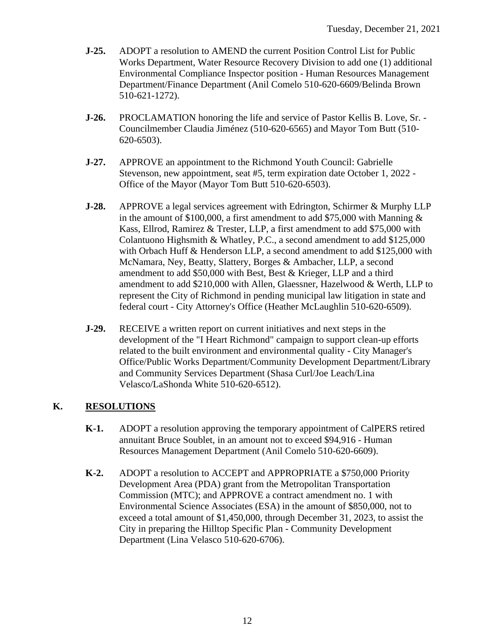- **J-25.** ADOPT a resolution to AMEND the current Position Control List for Public Works Department, Water Resource Recovery Division to add one (1) additional Environmental Compliance Inspector position - Human Resources Management Department/Finance Department (Anil Comelo 510-620-6609/Belinda Brown 510-621-1272).
- **J-26.** PROCLAMATION honoring the life and service of Pastor Kellis B. Love, Sr. Councilmember Claudia Jiménez (510-620-6565) and Mayor Tom Butt (510- 620-6503).
- **J-27.** APPROVE an appointment to the Richmond Youth Council: Gabrielle Stevenson, new appointment, seat #5, term expiration date October 1, 2022 - Office of the Mayor (Mayor Tom Butt 510-620-6503).
- **J-28.** APPROVE a legal services agreement with Edrington, Schirmer & Murphy LLP in the amount of \$100,000, a first amendment to add \$75,000 with Manning  $\&$ Kass, Ellrod, Ramirez & Trester, LLP, a first amendment to add \$75,000 with Colantuono Highsmith & Whatley, P.C., a second amendment to add \$125,000 with Orbach Huff & Henderson LLP, a second amendment to add \$125,000 with McNamara, Ney, Beatty, Slattery, Borges & Ambacher, LLP, a second amendment to add \$50,000 with Best, Best & Krieger, LLP and a third amendment to add \$210,000 with Allen, Glaessner, Hazelwood & Werth, LLP to represent the City of Richmond in pending municipal law litigation in state and federal court - City Attorney's Office (Heather McLaughlin 510-620-6509).
- **J-29.** RECEIVE a written report on current initiatives and next steps in the development of the "I Heart Richmond" campaign to support clean-up efforts related to the built environment and environmental quality - City Manager's Office/Public Works Department/Community Development Department/Library and Community Services Department (Shasa Curl/Joe Leach/Lina Velasco/LaShonda White 510-620-6512).

#### **K. RESOLUTIONS**

- **K-1.** ADOPT a resolution approving the temporary appointment of CalPERS retired annuitant Bruce Soublet, in an amount not to exceed \$94,916 - Human Resources Management Department (Anil Comelo 510-620-6609).
- **K-2.** ADOPT a resolution to ACCEPT and APPROPRIATE a \$750,000 Priority Development Area (PDA) grant from the Metropolitan Transportation Commission (MTC); and APPROVE a contract amendment no. 1 with Environmental Science Associates (ESA) in the amount of \$850,000, not to exceed a total amount of \$1,450,000, through December 31, 2023, to assist the City in preparing the Hilltop Specific Plan - Community Development Department (Lina Velasco 510-620-6706).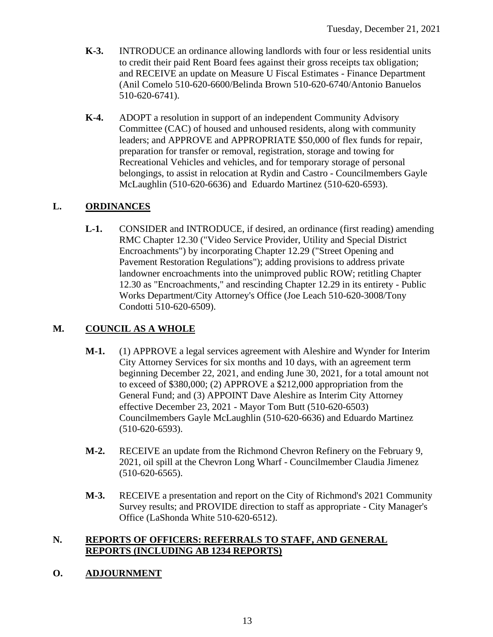- **K-3.** INTRODUCE an ordinance allowing landlords with four or less residential units to credit their paid Rent Board fees against their gross receipts tax obligation; and RECEIVE an update on Measure U Fiscal Estimates - Finance Department (Anil Comelo 510-620-6600/Belinda Brown 510-620-6740/Antonio Banuelos 510-620-6741).
- **K-4.** ADOPT a resolution in support of an independent Community Advisory Committee (CAC) of housed and unhoused residents, along with community leaders; and APPROVE and APPROPRIATE \$50,000 of flex funds for repair, preparation for transfer or removal, registration, storage and towing for Recreational Vehicles and vehicles, and for temporary storage of personal belongings, to assist in relocation at Rydin and Castro - Councilmembers Gayle McLaughlin (510-620-6636) and Eduardo Martinez (510-620-6593).

### **L. ORDINANCES**

**L-1.** CONSIDER and INTRODUCE, if desired, an ordinance (first reading) amending RMC Chapter 12.30 ("Video Service Provider, Utility and Special District Encroachments") by incorporating Chapter 12.29 ("Street Opening and Pavement Restoration Regulations"); adding provisions to address private landowner encroachments into the unimproved public ROW; retitling Chapter 12.30 as "Encroachments," and rescinding Chapter 12.29 in its entirety - Public Works Department/City Attorney's Office (Joe Leach 510-620-3008/Tony Condotti 510-620-6509).

#### **M. COUNCIL AS A WHOLE**

- **M-1.** (1) APPROVE a legal services agreement with Aleshire and Wynder for Interim City Attorney Services for six months and 10 days, with an agreement term beginning December 22, 2021, and ending June 30, 2021, for a total amount not to exceed of \$380,000; (2) APPROVE a \$212,000 appropriation from the General Fund; and (3) APPOINT Dave Aleshire as Interim City Attorney effective December 23, 2021 - Mayor Tom Butt (510-620-6503) Councilmembers Gayle McLaughlin (510-620-6636) and Eduardo Martinez (510-620-6593).
- **M-2.** RECEIVE an update from the Richmond Chevron Refinery on the February 9, 2021, oil spill at the Chevron Long Wharf - Councilmember Claudia Jimenez (510-620-6565).
- **M-3.** RECEIVE a presentation and report on the City of Richmond's 2021 Community Survey results; and PROVIDE direction to staff as appropriate - City Manager's Office (LaShonda White 510-620-6512).

#### **N. REPORTS OF OFFICERS: REFERRALS TO STAFF, AND GENERAL REPORTS (INCLUDING AB 1234 REPORTS)**

#### **O. ADJOURNMENT**